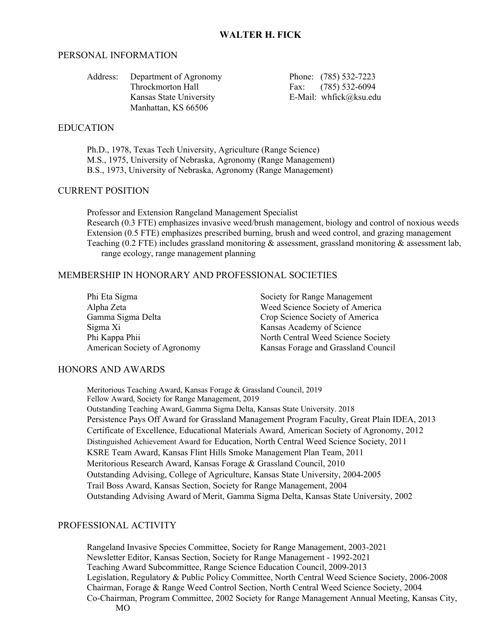### PERSONAL INFORMATION

| Department of Agronomy  | Phone: (785) 532-7223  |
|-------------------------|------------------------|
| Throckmorton Hall       | Fax: $(785) 532-6094$  |
| Kansas State University | E-Mail: whfick@ksu.edu |
| Manhattan, KS 66506     |                        |
|                         |                        |

### EDUCATION

Ph.D., 1978, Texas Tech University, Agriculture (Range Science) M.S., 1975, University of Nebraska, Agronomy (Range Management) B.S., 1973, University of Nebraska, Agronomy (Range Management)

### CURRENT POSITION

Professor and Extension Rangeland Management Specialist Research (0.3 FTE) emphasizes invasive weed/brush management, biology and control of noxious weeds Extension (0.5 FTE) emphasizes prescribed burning, brush and weed control, and grazing management Teaching (0.2 FTE) includes grassland monitoring & assessment, grassland monitoring & assessment lab, range ecology, range management planning

## MEMBERSHIP IN HONORARY AND PROFESSIONAL SOCIETIES

| Phi Eta Sigma                | Society for Range Management        |
|------------------------------|-------------------------------------|
| Alpha Zeta                   | Weed Science Society of America     |
| Gamma Sigma Delta            | Crop Science Society of America     |
| Sigma Xi                     | Kansas Academy of Science           |
| Phi Kappa Phii               | North Central Weed Science Society  |
| American Society of Agronomy | Kansas Forage and Grassland Council |

#### HONORS AND AWARDS

Meritorious Teaching Award, Kansas Forage & Grassland Council, 2019 Fellow Award, Society for Range Management, 2019 Outstanding Teaching Award, Gamma Sigma Delta, Kansas State University. 2018 Persistence Pays Off Award for Grassland Management Program Faculty, Great Plain IDEA, 2013 Certificate of Excellence, Educational Materials Award, American Society of Agronomy, 2012 Distinguished Achievement Award for Education, North Central Weed Science Society, 2011 KSRE Team Award, Kansas Flint Hills Smoke Management Plan Team, 2011 Meritorious Research Award, Kansas Forage & Grassland Council, 2010 Outstanding Advising, College of Agriculture, Kansas State University, 2004-2005 Trail Boss Award, Kansas Section, Society for Range Management, 2004 Outstanding Advising Award of Merit, Gamma Sigma Delta, Kansas State University, 2002

#### PROFESSIONAL ACTIVITY

Rangeland Invasive Species Committee, Society for Range Management, 2003-2021 Newsletter Editor, Kansas Section, Society for Range Management - 1992-2021 Teaching Award Subcommittee, Range Science Education Council, 2009-2013 Legislation, Regulatory & Public Policy Committee, North Central Weed Science Society, 2006-2008 Chairman, Forage & Range Weed Control Section, North Central Weed Science Society, 2004 Co-Chairman, Program Committee, 2002 Society for Range Management Annual Meeting, Kansas City, MO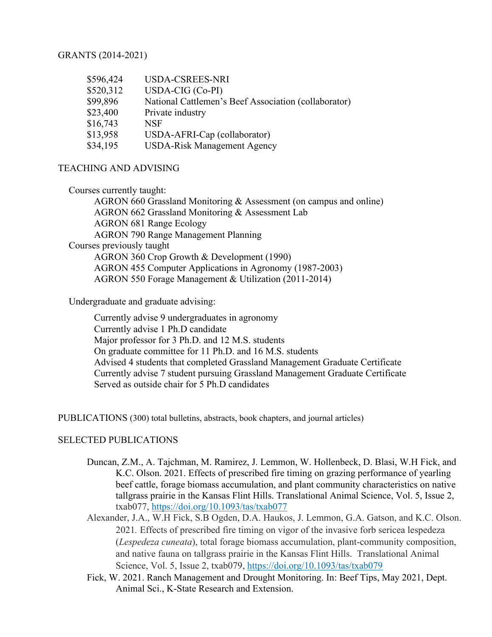# GRANTS (2014-2021)

| \$596,424 | USDA-CSREES-NRI                                      |
|-----------|------------------------------------------------------|
| \$520,312 | USDA-CIG (Co-PI)                                     |
| \$99,896  | National Cattlemen's Beef Association (collaborator) |
| \$23,400  | Private industry                                     |
| \$16,743  | <b>NSF</b>                                           |
| \$13,958  | USDA-AFRI-Cap (collaborator)                         |
| \$34,195  | <b>USDA-Risk Management Agency</b>                   |

## TEACHING AND ADVISING

Courses currently taught:

AGRON 660 Grassland Monitoring & Assessment (on campus and online) AGRON 662 Grassland Monitoring & Assessment Lab AGRON 681 Range Ecology AGRON 790 Range Management Planning Courses previously taught AGRON 360 Crop Growth & Development (1990) AGRON 455 Computer Applications in Agronomy (1987-2003) AGRON 550 Forage Management & Utilization (2011-2014)

Undergraduate and graduate advising:

Currently advise 9 undergraduates in agronomy Currently advise 1 Ph.D candidate Major professor for 3 Ph.D. and 12 M.S. students On graduate committee for 11 Ph.D. and 16 M.S. students Advised 4 students that completed Grassland Management Graduate Certificate Currently advise 7 student pursuing Grassland Management Graduate Certificate Served as outside chair for 5 Ph.D candidates

PUBLICATIONS (300) total bulletins, abstracts, book chapters, and journal articles)

## SELECTED PUBLICATIONS

- Duncan, Z.M., A. Tajchman, M. Ramirez, J. Lemmon, W. Hollenbeck, D. Blasi, W.H Fick, and K.C. Olson. 2021. Effects of prescribed fire timing on grazing performance of yearling beef cattle, forage biomass accumulation, and plant community characteristics on native tallgrass prairie in the Kansas Flint Hills. Translational Animal Science, Vol. 5, Issue 2, txab077, https://doi.org/10.1093/tas/txab077
- Alexander, J.A., W.H Fick, S.B Ogden, D.A. Haukos, J. Lemmon, G.A. Gatson, and K.C. Olson. 2021*.* Effects of prescribed fire timing on vigor of the invasive forb sericea lespedeza (*Lespedeza cuneata*), total forage biomass accumulation, plant-community composition, and native fauna on tallgrass prairie in the Kansas Flint Hills. Translational Animal Science, Vol. 5, Issue 2, txab079, https://doi.org/10.1093/tas/txab079
- Fick, W. 2021. Ranch Management and Drought Monitoring. In: Beef Tips, May 2021, Dept. Animal Sci., K-State Research and Extension.